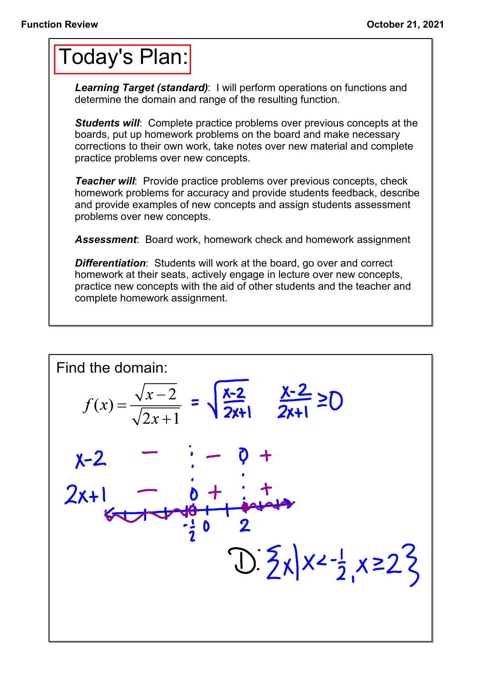## Today's Plan:

*Learning Target (standard)*: I will perform operations on functions and determine the domain and range of the resulting function.

**Students will:** Complete practice problems over previous concepts at the boards, put up homework problems on the board and make necessary corrections to their own work, take notes over new material and complete practice problems over new concepts.

*Teacher will:* Provide practice problems over previous concepts, check homework problems for accuracy and provide students feedback, describe and provide examples of new concepts and assign students assessment problems over new concepts.

*Assessment*: Board work, homework check and homework assignment

*Differentiation*: Students will work at the board, go over and correct homework at their seats, actively engage in lecture over new concepts, practice new concepts with the aid of other students and the teacher and complete homework assignment.

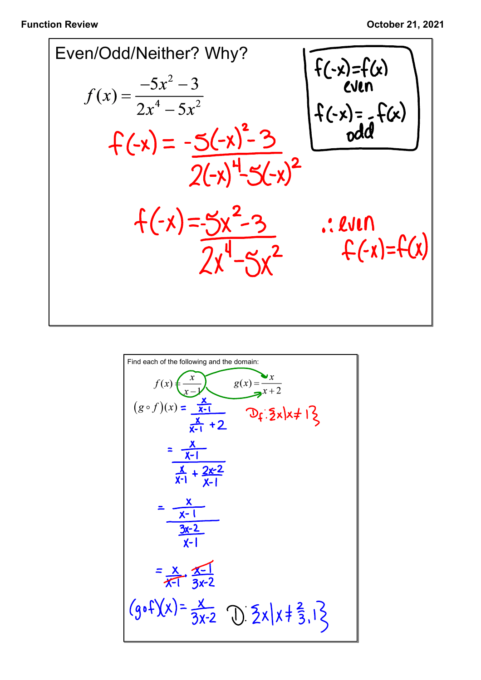

Find each of the following and the domain:  
\n
$$
f(x) = \frac{x}{x-1}
$$
\n
$$
g(x) = \frac{x}{x+2}
$$
\n
$$
g(x) = \frac{x}{x+2}
$$
\n
$$
g(x) = \frac{x}{x+2}
$$
\n
$$
g(x) = \frac{x}{x+2}
$$
\n
$$
g(x) = \frac{x}{x+2}
$$
\n
$$
g(x) = \frac{x}{x+2}
$$
\n
$$
g(x) = \frac{x}{x+2}
$$
\n
$$
g(x) = \frac{x}{x+2}
$$
\n
$$
g(x) = \frac{x}{x+2}
$$
\n
$$
g(x) = \frac{x}{x+2}
$$
\n
$$
g(x) = \frac{x}{x+2}
$$
\n
$$
g(x) = \frac{x}{x-1}
$$
\n
$$
g(x) = \frac{x}{x-1}
$$
\n
$$
g(x) = \frac{x}{x-1}
$$
\n
$$
g(x) = \frac{x}{x-1}
$$
\n
$$
g(x) = \frac{x}{x-1}
$$
\n
$$
g(x) = \frac{x}{x-1}
$$
\n
$$
g(x) = \frac{x}{x-1}
$$
\n
$$
g(x) = \frac{x}{x-1}
$$
\n
$$
g(x) = \frac{x}{x-1}
$$
\n
$$
g(x) = \frac{x}{x-1}
$$
\n
$$
g(x) = \frac{x}{x-1}
$$
\n
$$
g(x) = \frac{x}{x-1}
$$
\n
$$
g(x) = \frac{x}{x-1}
$$
\n
$$
g(x) = \frac{x}{x-1}
$$
\n
$$
g(x) = \frac{x}{x-1}
$$
\n
$$
g(x) = \frac{x}{x-1}
$$
\n
$$
g(x) = \frac{x}{x-1}
$$
\n
$$
g(x) = \frac{x}{x-1}
$$
\n
$$
g(x) = \frac{x}{x-1}
$$
\n
$$
g(x) = \frac{x}{x-1}
$$
\n
$$
g(x) = \frac{x}{x-1}
$$
\n
$$
g(x) = \frac{x}{x-1}
$$
\n
$$
g(x) = \frac{x}{x-1}
$$
\n
$$
g(x) = \frac{x}{x-1}
$$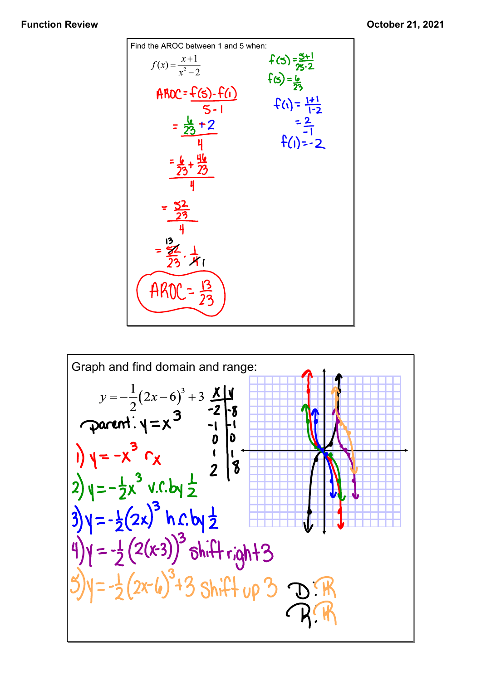

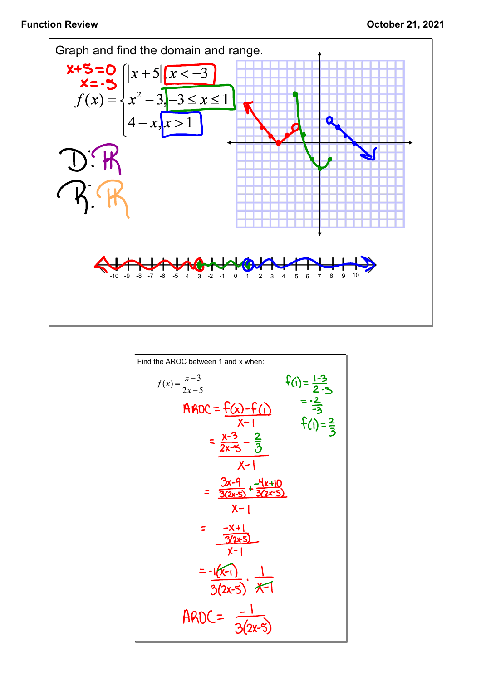

Find the AROC between 1 and x when:  
\n
$$
f(x) = \frac{x-3}{2x-5}
$$
  $f(1) = \frac{1-3}{2-5}$   
\n $f(1) = \frac{1-3}{2-5}$   
\n $= \frac{2}{3} - \frac{2}{3}$   
\n $= \frac{x-3}{2x-5} - \frac{2}{3}$   
\n $\frac{x-1}{x-1}$   
\n $= \frac{3x-9}{3(2x-5)} + \frac{4x+10}{3(2x-5)}$   
\n $x-1$   
\n $= \frac{-x+1}{3(2x-5)}$   
\n $\frac{-x+1}{3(2x-5)}$   
\n $\frac{1}{3(2x-5)}$   
\n $\frac{1}{3(2x-5)}$   
\n $\frac{1}{3(2x-5)}$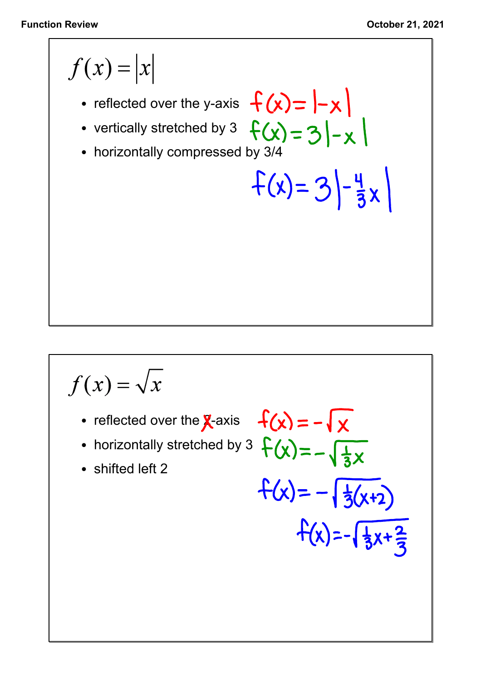